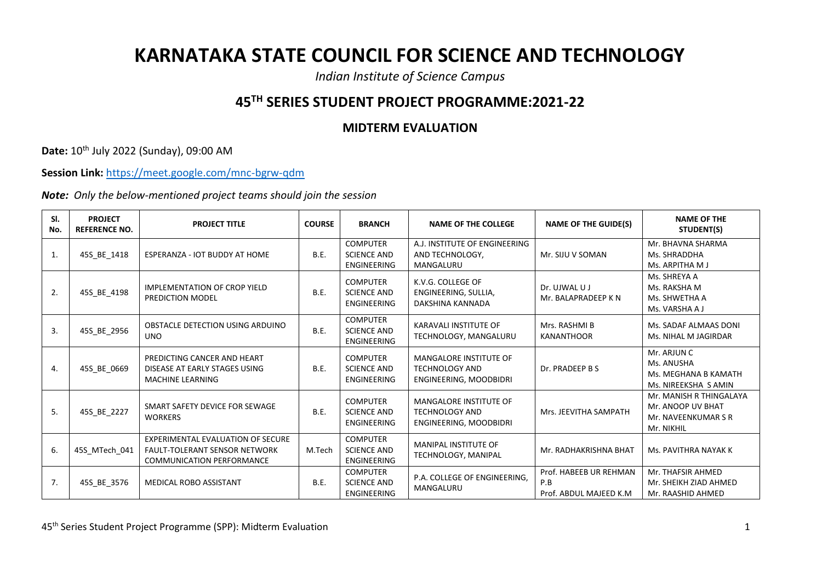## **KARNATAKA STATE COUNCIL FOR SCIENCE AND TECHNOLOGY**

*Indian Institute of Science Campus*

## **45TH SERIES STUDENT PROJECT PROGRAMME:2021-22**

## **MIDTERM EVALUATION**

**Date:** 10th July 2022 (Sunday), 09:00 AM

**Session Link:** <https://meet.google.com/mnc-bgrw-qdm>

*Note: Only the below-mentioned project teams should join the session*

| SI.<br>No.     | <b>PROJECT</b><br><b>REFERENCE NO.</b> | <b>PROJECT TITLE</b>                                                                                          | <b>COURSE</b> | <b>BRANCH</b>                                               | <b>NAME OF THE COLLEGE</b>                                                       | <b>NAME OF THE GUIDE(S)</b>                              | <b>NAME OF THE</b><br>STUDENT(S)                                                  |
|----------------|----------------------------------------|---------------------------------------------------------------------------------------------------------------|---------------|-------------------------------------------------------------|----------------------------------------------------------------------------------|----------------------------------------------------------|-----------------------------------------------------------------------------------|
| $\mathbf{1}$ . | 45S BE 1418                            | ESPERANZA - IOT BUDDY AT HOME                                                                                 | <b>B.E.</b>   | <b>COMPUTER</b><br><b>SCIENCE AND</b><br><b>ENGINEERING</b> | A.J. INSTITUTE OF ENGINEERING<br>AND TECHNOLOGY.<br>MANGALURU                    | Mr. SIJU V SOMAN                                         | Mr. BHAVNA SHARMA<br>Ms. SHRADDHA<br>Ms. ARPITHA M J                              |
| 2.             | 45S_BE_4198                            | <b>IMPLEMENTATION OF CROP YIELD</b><br>PREDICTION MODEL                                                       | <b>B.E.</b>   | <b>COMPUTER</b><br><b>SCIENCE AND</b><br><b>ENGINEERING</b> | K.V.G. COLLEGE OF<br>ENGINEERING, SULLIA,<br>DAKSHINA KANNADA                    | Dr. UJWAL U J<br>Mr. BALAPRADEEP K N                     | Ms. SHREYA A<br>Ms. RAKSHA M<br>Ms. SHWETHA A<br>Ms. VARSHA A J                   |
| 3.             | 45S_BE_2956                            | OBSTACLE DETECTION USING ARDUINO<br><b>UNO</b>                                                                | <b>B.E.</b>   | <b>COMPUTER</b><br><b>SCIENCE AND</b><br>ENGINEERING        | KARAVALI INSTITUTE OF<br>TECHNOLOGY, MANGALURU                                   | Mrs. RASHMI B<br><b>KANANTHOOR</b>                       | Ms. SADAF ALMAAS DONI<br>Ms. NIHAL M JAGIRDAR                                     |
| 4.             | 45S_BE_0669                            | PREDICTING CANCER AND HEART<br>DISEASE AT EARLY STAGES USING<br><b>MACHINE LEARNING</b>                       | <b>B.E.</b>   | <b>COMPUTER</b><br><b>SCIENCE AND</b><br><b>ENGINEERING</b> | MANGALORE INSTITUTE OF<br><b>TECHNOLOGY AND</b><br>ENGINEERING, MOODBIDRI        | Dr. PRADEEP B S                                          | Mr. ARJUN C<br>Ms. ANUSHA<br>Ms. MEGHANA B KAMATH<br>Ms. NIREEKSHA S AMIN         |
| 5.             | 45S_BE_2227                            | SMART SAFETY DEVICE FOR SEWAGE<br><b>WORKERS</b>                                                              | <b>B.E.</b>   | <b>COMPUTER</b><br><b>SCIENCE AND</b><br>ENGINEERING        | <b>MANGALORE INSTITUTE OF</b><br><b>TECHNOLOGY AND</b><br>ENGINEERING, MOODBIDRI | Mrs. JEEVITHA SAMPATH                                    | Mr. MANISH R THINGALAYA<br>Mr. ANOOP UV BHAT<br>Mr. NAVEENKUMAR S R<br>Mr. NIKHIL |
| 6.             | 45S MTech 041                          | EXPERIMENTAL EVALUATION OF SECURE<br><b>FAULT-TOLERANT SENSOR NETWORK</b><br><b>COMMUNICATION PERFORMANCE</b> | M.Tech        | <b>COMPUTER</b><br><b>SCIENCE AND</b><br><b>ENGINEERING</b> | <b>MANIPAL INSTITUTE OF</b><br>TECHNOLOGY, MANIPAL                               | Mr. RADHAKRISHNA BHAT                                    | Ms. PAVITHRA NAYAK K                                                              |
| 7.             | 45S_BE_3576                            | MEDICAL ROBO ASSISTANT                                                                                        | <b>B.E.</b>   | <b>COMPUTER</b><br><b>SCIENCE AND</b><br><b>ENGINEERING</b> | P.A. COLLEGE OF ENGINEERING.<br>MANGALURU                                        | Prof. HABEEB UR REHMAN<br>P.B<br>Prof. ABDUL MAJEED K.M. | Mr. THAFSIR AHMED<br>Mr. SHEIKH ZIAD AHMED<br>Mr. RAASHID AHMED                   |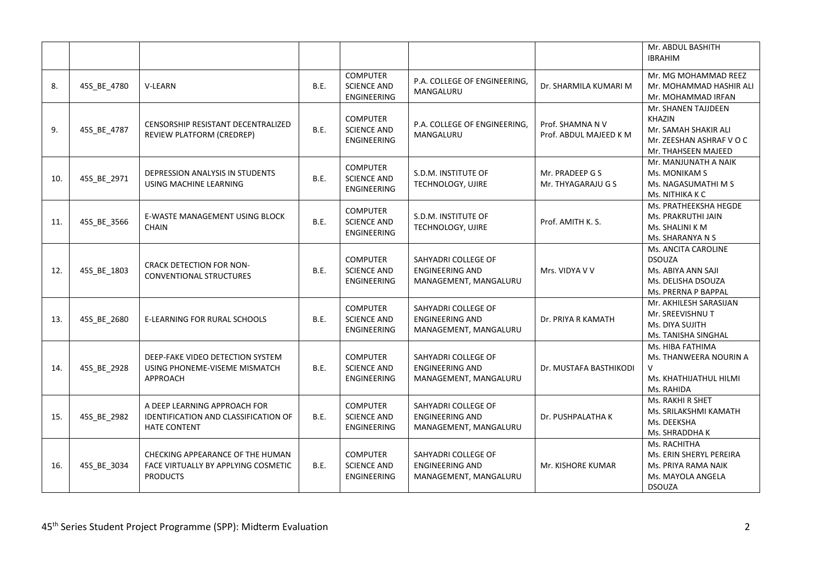|     |             |                                                                                                    |             |                                                             |                                                                        |                                            | Mr. ABDUL BASHITH<br><b>IBRAHIM</b>                                                                             |
|-----|-------------|----------------------------------------------------------------------------------------------------|-------------|-------------------------------------------------------------|------------------------------------------------------------------------|--------------------------------------------|-----------------------------------------------------------------------------------------------------------------|
| 8.  | 45S_BE_4780 | V-LEARN                                                                                            | <b>B.E.</b> | <b>COMPUTER</b><br><b>SCIENCE AND</b><br>ENGINEERING        | P.A. COLLEGE OF ENGINEERING,<br>MANGALURU                              | Dr. SHARMILA KUMARI M                      | Mr. MG MOHAMMAD REEZ<br>Mr. MOHAMMAD HASHIR ALI<br>Mr. MOHAMMAD IRFAN                                           |
| 9.  | 45S_BE_4787 | CENSORSHIP RESISTANT DECENTRALIZED<br>REVIEW PLATFORM (CREDREP)                                    | <b>B.E.</b> | <b>COMPUTER</b><br><b>SCIENCE AND</b><br><b>ENGINEERING</b> | P.A. COLLEGE OF ENGINEERING,<br>MANGALURU                              | Prof. SHAMNA N V<br>Prof. ABDUL MAJEED K M | Mr. SHANEN TAJJDEEN<br><b>KHAZIN</b><br>Mr. SAMAH SHAKIR ALI<br>Mr. ZEESHAN ASHRAF V O C<br>Mr. THAHSEEN MAJEED |
| 10. | 45S_BE_2971 | DEPRESSION ANALYSIS IN STUDENTS<br>USING MACHINE LEARNING                                          | B.E.        | <b>COMPUTER</b><br><b>SCIENCE AND</b><br><b>ENGINEERING</b> | S.D.M. INSTITUTE OF<br>TECHNOLOGY, UJIRE                               | Mr. PRADEEP G S<br>Mr. THYAGARAJU G S      | Mr. MANJUNATH A NAIK<br>Ms. MONIKAM S<br>Ms. NAGASUMATHI M S<br>Ms. NITHIKA K C                                 |
| 11. | 45S_BE_3566 | E-WASTE MANAGEMENT USING BLOCK<br><b>CHAIN</b>                                                     | <b>B.E.</b> | <b>COMPUTER</b><br><b>SCIENCE AND</b><br><b>ENGINEERING</b> | S.D.M. INSTITUTE OF<br>TECHNOLOGY, UJIRE                               | Prof. AMITH K. S.                          | Ms. PRATHEEKSHA HEGDE<br>Ms. PRAKRUTHI JAIN<br>Ms. SHALINI K M<br>Ms. SHARANYA N S                              |
| 12. | 45S_BE_1803 | <b>CRACK DETECTION FOR NON-</b><br><b>CONVENTIONAL STRUCTURES</b>                                  | <b>B.E.</b> | <b>COMPUTER</b><br><b>SCIENCE AND</b><br><b>ENGINEERING</b> | SAHYADRI COLLEGE OF<br><b>ENGINEERING AND</b><br>MANAGEMENT, MANGALURU | Mrs. VIDYA V V                             | Ms. ANCITA CAROLINE<br><b>DSOUZA</b><br>Ms. ABIYA ANN SAJI<br>Ms. DELISHA DSOUZA<br>Ms. PRERNA P BAPPAL         |
| 13. | 45S_BE_2680 | E-LEARNING FOR RURAL SCHOOLS                                                                       | B.E.        | <b>COMPUTER</b><br><b>SCIENCE AND</b><br><b>ENGINEERING</b> | SAHYADRI COLLEGE OF<br><b>ENGINEERING AND</b><br>MANAGEMENT, MANGALURU | Dr. PRIYA R KAMATH                         | Mr. AKHILESH SARASIJAN<br>Mr. SREEVISHNU T<br>Ms. DIYA SUJITH<br>Ms. TANISHA SINGHAL                            |
| 14. | 45S_BE_2928 | DEEP-FAKE VIDEO DETECTION SYSTEM<br>USING PHONEME-VISEME MISMATCH<br>APPROACH                      | <b>B.E.</b> | <b>COMPUTER</b><br><b>SCIENCE AND</b><br><b>ENGINEERING</b> | SAHYADRI COLLEGE OF<br><b>ENGINEERING AND</b><br>MANAGEMENT, MANGALURU | Dr. MUSTAFA BASTHIKODI                     | Ms. HIBA FATHIMA<br>Ms. THANWEERA NOURIN A<br>$\vee$<br>Ms. KHATHIJATHUL HILMI<br>Ms. RAHIDA                    |
| 15. | 45S_BE_2982 | A DEEP LEARNING APPROACH FOR<br><b>IDENTIFICATION AND CLASSIFICATION OF</b><br><b>HATE CONTENT</b> | <b>B.E.</b> | <b>COMPUTER</b><br><b>SCIENCE AND</b><br><b>ENGINEERING</b> | SAHYADRI COLLEGE OF<br><b>ENGINEERING AND</b><br>MANAGEMENT, MANGALURU | Dr. PUSHPALATHA K                          | Ms. RAKHI R SHET<br>Ms. SRILAKSHMI KAMATH<br>Ms. DEEKSHA<br>Ms. SHRADDHA K                                      |
| 16. | 45S_BE_3034 | CHECKING APPEARANCE OF THE HUMAN<br>FACE VIRTUALLY BY APPLYING COSMETIC<br><b>PRODUCTS</b>         | <b>B.E.</b> | <b>COMPUTER</b><br><b>SCIENCE AND</b><br><b>ENGINEERING</b> | SAHYADRI COLLEGE OF<br><b>ENGINEERING AND</b><br>MANAGEMENT, MANGALURU | Mr. KISHORE KUMAR                          | Ms. RACHITHA<br>Ms. ERIN SHERYL PEREIRA<br>Ms. PRIYA RAMA NAIK<br>Ms. MAYOLA ANGELA<br><b>DSOUZA</b>            |